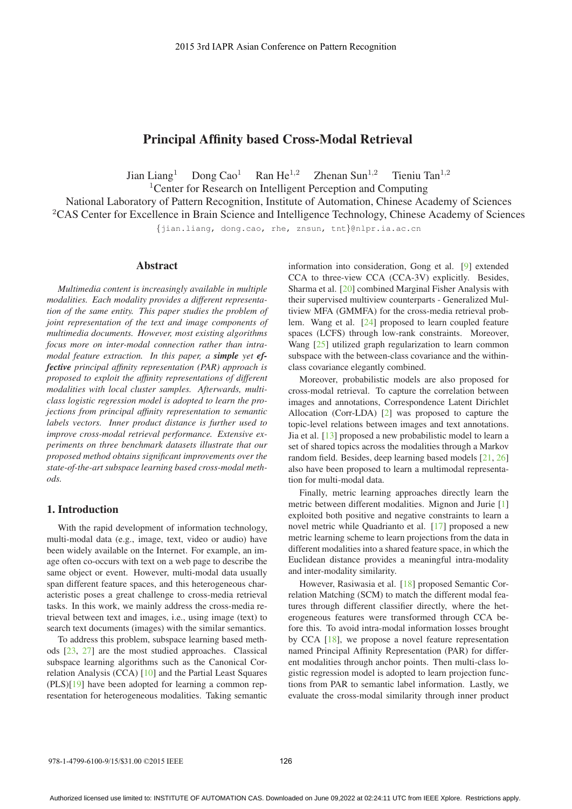# Principal Affinity based Cross-Modal Retrieval

Jian Liang<sup>1</sup> Dong Cao<sup>1</sup> Ran He<sup>1,2</sup> Zhenan Sun<sup>1,2</sup> Tieniu Tan<sup>1,2</sup>

<sup>1</sup> Center for Research on Intelligent Perception and Computing

National Laboratory of Pattern Recognition, Institute of Automation, Chinese Academy of Sciences <sup>2</sup>CAS Center for Excellence in Brain Science and Intelligence Technology, Chinese Academy of Sciences

{jian.liang, dong.cao, rhe, znsun, tnt}@nlpr.ia.ac.cn

## Abstract

*Multimedia content is increasingly available in multiple modalities. Each modality provides a different representation of the same entity. This paper studies the problem of joint representation of the text and image components of multimedia documents. However, most existing algorithms focus more on inter-modal connection rather than intramodal feature extraction. In this paper, a simple yet effective principal affinity representation (PAR) approach is proposed to exploit the affinity representations of different modalities with local cluster samples. Afterwards, multiclass logistic regression model is adopted to learn the projections from principal affinity representation to semantic labels vectors. Inner product distance is further used to improve cross-modal retrieval performance. Extensive experiments on three benchmark datasets illustrate that our proposed method obtains significant improvements over the state-of-the-art subspace learning based cross-modal methods.*

### 1. Introduction

With the rapid development of information technology, multi-modal data (e.g., image, text, video or audio) have been widely available on the Internet. For example, an image often co-occurs with text on a web page to describe the same object or event. However, multi-modal data usually span different feature spaces, and this heterogeneous characteristic poses a great challenge to cross-media retrieval tasks. In this work, we mainly address the cross-media retrieval between text and images, i.e., using image (text) to search text documents (images) with the similar semantics.

To address this problem, subspace learning based methods [23, 27] are the most studied approaches. Classical subspace learning algorithms such as the Canonical Correlation Analysis (CCA) [10] and the Partial Least Squares (PLS)[19] have been adopted for learning a common representation for heterogeneous modalities. Taking semantic information into consideration, Gong et al. [9] extended CCA to three-view CCA (CCA-3V) explicitly. Besides, Sharma et al. [20] combined Marginal Fisher Analysis with their supervised multiview counterparts - Generalized Multiview MFA (GMMFA) for the cross-media retrieval problem. Wang et al. [24] proposed to learn coupled feature spaces (LCFS) through low-rank constraints. Moreover, Wang [25] utilized graph regularization to learn common subspace with the between-class covariance and the withinclass covariance elegantly combined.

Moreover, probabilistic models are also proposed for cross-modal retrieval. To capture the correlation between images and annotations, Correspondence Latent Dirichlet Allocation (Corr-LDA) [2] was proposed to capture the topic-level relations between images and text annotations. Jia et al. [13] proposed a new probabilistic model to learn a set of shared topics across the modalities through a Markov random field. Besides, deep learning based models [21, 26] also have been proposed to learn a multimodal representation for multi-modal data.

Finally, metric learning approaches directly learn the metric between different modalities. Mignon and Jurie [1] exploited both positive and negative constraints to learn a novel metric while Quadrianto et al. [17] proposed a new metric learning scheme to learn projections from the data in different modalities into a shared feature space, in which the Euclidean distance provides a meaningful intra-modality and inter-modality similarity.

However, Rasiwasia et al. [18] proposed Semantic Correlation Matching (SCM) to match the different modal features through different classifier directly, where the heterogeneous features were transformed through CCA before this. To avoid intra-modal information losses brought by CCA [18], we propose a novel feature representation named Principal Affinity Representation (PAR) for different modalities through anchor points. Then multi-class logistic regression model is adopted to learn projection functions from PAR to semantic label information. Lastly, we evaluate the cross-modal similarity through inner product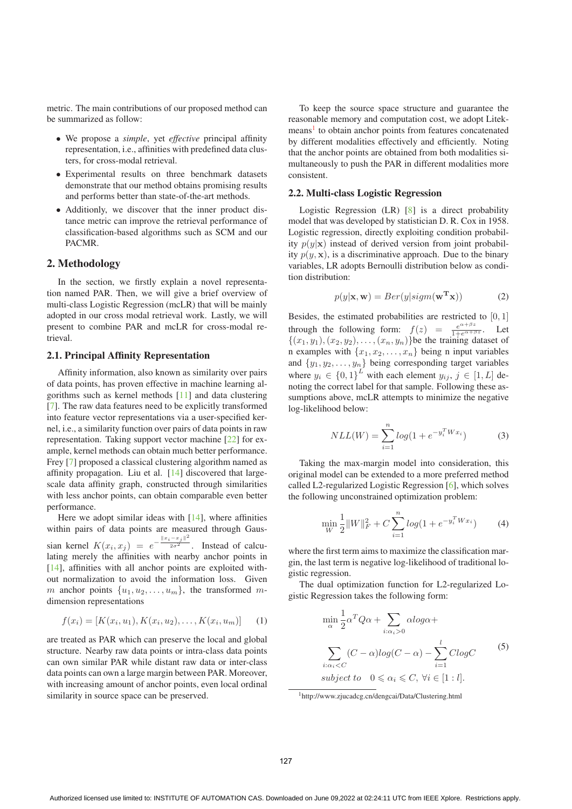metric. The main contributions of our proposed method can be summarized as follow:

- We propose a *simple*, yet *effective* principal affinity representation, i.e., affinities with predefined data clusters, for cross-modal retrieval.
- Experimental results on three benchmark datasets demonstrate that our method obtains promising results and performs better than state-of-the-art methods.
- Additionly, we discover that the inner product distance metric can improve the retrieval performance of classification-based algorithms such as SCM and our PACMR.

### 2. Methodology

In the section, we firstly explain a novel representation named PAR. Then, we will give a brief overview of multi-class Logistic Regression (mcLR) that will be mainly adopted in our cross modal retrieval work. Lastly, we will present to combine PAR and mcLR for cross-modal retrieval.

#### 2.1. Principal Affinity Representation

Affinity information, also known as similarity over pairs of data points, has proven effective in machine learning algorithms such as kernel methods [11] and data clustering [7]. The raw data features need to be explicitly transformed into feature vector representations via a user-specified kernel, i.e., a similarity function over pairs of data points in raw representation. Taking support vector machine [22] for example, kernel methods can obtain much better performance. Frey [7] proposed a classical clustering algorithm named as affinity propagation. Liu et al. [14] discovered that largescale data affinity graph, constructed through similarities with less anchor points, can obtain comparable even better performance.

Here we adopt similar ideas with  $[14]$ , where affinities within pairs of data points are measured through Gaussian kernel  $K(x_i, x_j) = e^{-\frac{||x_i - x_j||^2}{2\sigma^2}}$ . Instead of calcu-<br>lating merely the affinities with nearby anchor points in lating merely the affinities with nearby anchor points in [14], affinities with all anchor points are exploited without normalization to avoid the information loss. Given m anchor points  $\{u_1, u_2, \ldots, u_m\}$ , the transformed mdimension representations

$$
f(x_i) = [K(x_i, u_1), K(x_i, u_2), \dots, K(x_i, u_m)] \tag{1}
$$

are treated as PAR which can preserve the local and global structure. Nearby raw data points or intra-class data points can own similar PAR while distant raw data or inter-class data points can own a large margin between PAR. Moreover, with increasing amount of anchor points, even local ordinal similarity in source space can be preserved.

To keep the source space structure and guarantee the reasonable memory and computation cost, we adopt Litekmeans<sup>1</sup> to obtain anchor points from features concatenated by different modalities effectively and efficiently. Noting that the anchor points are obtained from both modalities simultaneously to push the PAR in different modalities more consistent.

#### 2.2. Multi-class Logistic Regression

Logistic Regression (LR) [8] is a direct probability model that was developed by statistician D. R. Cox in 1958. Logistic regression, directly exploiting condition probability  $p(y|\mathbf{x})$  instead of derived version from joint probability  $p(y, x)$ , is a discriminative approach. Due to the binary variables, LR adopts Bernoulli distribution below as condition distribution:

$$
p(y|\mathbf{x}, \mathbf{w}) = Ber(y|sigm(\mathbf{w}^{\mathbf{T}}\mathbf{x}))
$$
 (2)

Besides, the estimated probabilities are restricted to  $[0, 1]$ through the following form:  $f(z) = \frac{e^{\alpha+\beta z}}{1+e^{\alpha+\beta z}}$ . Let  $\{(x_1,y_1),(x_2,y_2),\ldots,(x_n,y_n)\}$ be the training dataset of n examples with  $\{x_1, x_2, \ldots, x_n\}$  being n input variables and  $\{y_1, y_2, \ldots, y_n\}$  being corresponding target variables where  $y_i \in \{0, 1\}^L$  with each element  $y_{ij}$ ,  $j \in [1, L]$  de-<br>noting the correct label for that sample. Following these asnoting the correct label for that sample. Following these assumptions above, mcLR attempts to minimize the negative log-likelihood below:

$$
NLL(W) = \sum_{i=1}^{n} log(1 + e^{-y_i^T W x_i})
$$
 (3)

Taking the max-margin model into consideration, this original model can be extended to a more preferred method called L2-regularized Logistic Regression [6], which solves the following unconstrained optimization problem:

$$
\min_{W} \frac{1}{2} \|W\|_{F}^{2} + C \sum_{i=1}^{n} \log(1 + e^{-y_{i}^{T} W x_{i}})
$$
(4)

where the first term aims to maximize the classification margin, the last term is negative log-likelihood of traditional logistic regression.

The dual optimization function for L2-regularized Logistic Regression takes the following form:

$$
\min_{\alpha} \frac{1}{2} \alpha^T Q \alpha + \sum_{i:\alpha_i > 0} \alpha log \alpha +
$$
\n
$$
\sum_{i:\alpha_i < C} (C - \alpha) log(C - \alpha) - \sum_{i=1}^{l} C log C
$$
\n*subject to*  $0 \le \alpha_i \le C, \forall i \in [1:l].$ \n
$$
(5)
$$

<sup>1</sup>http://www.zjucadcg.cn/dengcai/Data/Clustering.html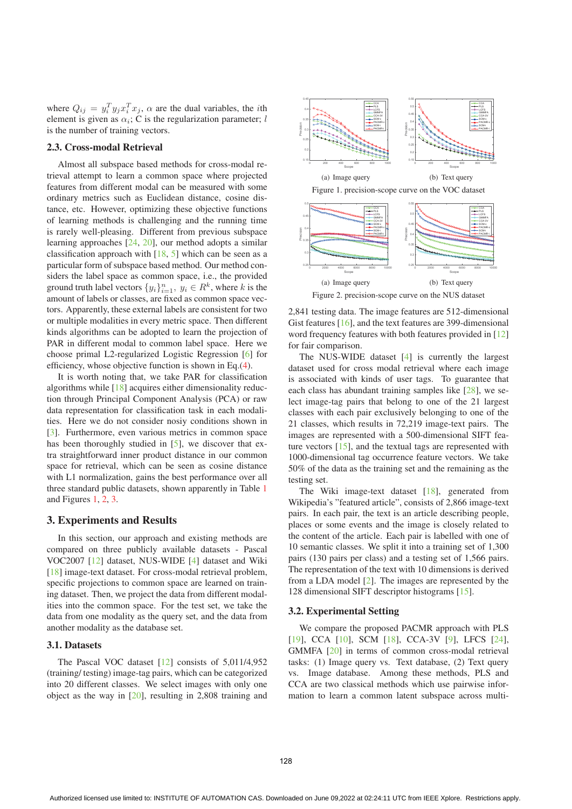where  $Q_{ij} = y_i^T y_j x_i^T x_j$ ,  $\alpha$  are the dual variables, the *i*th element is given as  $\alpha$ . C is the regularization parameter: *l* element is given as  $\alpha_i$ ; C is the regularization parameter; l is the number of training vectors.

#### 2.3. Cross-modal Retrieval

Almost all subspace based methods for cross-modal retrieval attempt to learn a common space where projected features from different modal can be measured with some ordinary metrics such as Euclidean distance, cosine distance, etc. However, optimizing these objective functions of learning methods is challenging and the running time is rarely well-pleasing. Different from previous subspace learning approaches [24, 20], our method adopts a similar classification approach with  $[18, 5]$  which can be seen as a particular form of subspace based method. Our method considers the label space as common space, i.e., the provided ground truth label vectors  $\{y_i\}_{i=1}^n$ ,  $y_i \in R^k$ , where k is the amount of labels or classes are fixed as common space vecamount of labels or classes, are fixed as common space vectors. Apparently, these external labels are consistent for two or multiple modalities in every metric space. Then different kinds algorithms can be adopted to learn the projection of PAR in different modal to common label space. Here we choose primal L2-regularized Logistic Regression [6] for efficiency, whose objective function is shown in Eq.(4).

It is worth noting that, we take PAR for classification algorithms while [18] acquires either dimensionality reduction through Principal Component Analysis (PCA) or raw data representation for classification task in each modalities. Here we do not consider nosiy conditions shown in [3]. Furthermore, even various metrics in common space has been thoroughly studied in [5], we discover that extra straightforward inner product distance in our common space for retrieval, which can be seen as cosine distance with L1 normalization, gains the best performance over all three standard public datasets, shown apparently in Table 1 and Figures 1, 2, 3.

### 3. Experiments and Results

In this section, our approach and existing methods are compared on three publicly available datasets - Pascal VOC2007 [12] dataset, NUS-WIDE [4] dataset and Wiki [18] image-text dataset. For cross-modal retrieval problem, specific projections to common space are learned on training dataset. Then, we project the data from different modalities into the common space. For the test set, we take the data from one modality as the query set, and the data from another modality as the database set.

## 3.1. Datasets

The Pascal VOC dataset  $[12]$  consists of 5,011/4,952 (training/ testing) image-tag pairs, which can be categorized into 20 different classes. We select images with only one object as the way in [20], resulting in 2,808 training and



2,841 testing data. The image features are 512-dimensional Gist features [16], and the text features are 399-dimensional word frequency features with both features provided in [12] for fair comparison.

The NUS-WIDE dataset [4] is currently the largest dataset used for cross modal retrieval where each image is associated with kinds of user tags. To guarantee that each class has abundant training samples like [28], we select image-tag pairs that belong to one of the 21 largest classes with each pair exclusively belonging to one of the 21 classes, which results in 72,219 image-text pairs. The images are represented with a 500-dimensional SIFT feature vectors [15], and the textual tags are represented with 1000-dimensional tag occurrence feature vectors. We take 50% of the data as the training set and the remaining as the testing set.

The Wiki image-text dataset [18], generated from Wikipedia's "featured article", consists of 2,866 image-text pairs. In each pair, the text is an article describing people, places or some events and the image is closely related to the content of the article. Each pair is labelled with one of 10 semantic classes. We split it into a training set of 1,300 pairs (130 pairs per class) and a testing set of 1,566 pairs. The representation of the text with 10 dimensions is derived from a LDA model [2]. The images are represented by the 128 dimensional SIFT descriptor histograms [15].

#### 3.2. Experimental Setting

We compare the proposed PACMR approach with PLS [19], CCA [10], SCM [18], CCA-3V [9], LFCS [24], GMMFA [20] in terms of common cross-modal retrieval tasks: (1) Image query vs. Text database, (2) Text query vs. Image database. Among these methods, PLS and CCA are two classical methods which use pairwise information to learn a common latent subspace across multi-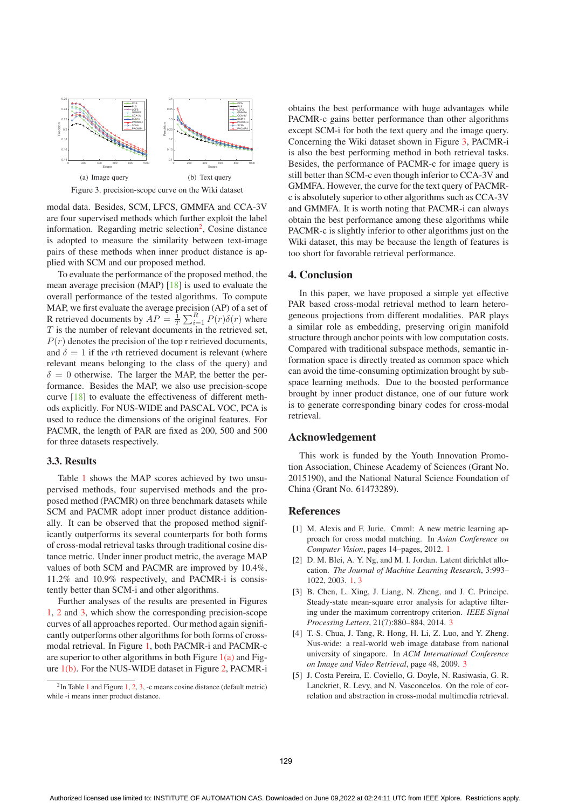

Figure 3. precision-scope curve on the Wiki dataset

modal data. Besides, SCM, LFCS, GMMFA and CCA-3V are four supervised methods which further exploit the label information. Regarding metric selection<sup>2</sup>, Cosine distance is adopted to measure the similarity between text-image pairs of these methods when inner product distance is applied with SCM and our proposed method.

To evaluate the performance of the proposed method, the mean average precision (MAP) [18] is used to evaluate the overall performance of the tested algorithms. To compute MAP, we first evaluate the average precision (AP) of a set of R retrieved documents by  $AP = \frac{1}{T} \sum_{i=1}^{R} P(r) \delta(r)$  where  $T$  is the number of relevant documents in the retrieved set  $T$  is the number of relevant documents in the retrieved set,  $P(r)$  denotes the precision of the top r retrieved documents, and  $\delta = 1$  if the rth retrieved document is relevant (where relevant means belonging to the class of the query) and  $\delta = 0$  otherwise. The larger the MAP, the better the performance. Besides the MAP, we also use precision-scope curve [18] to evaluate the effectiveness of different methods explicitly. For NUS-WIDE and PASCAL VOC, PCA is used to reduce the dimensions of the original features. For PACMR, the length of PAR are fixed as 200, 500 and 500 for three datasets respectively.

### 3.3. Results

Table 1 shows the MAP scores achieved by two unsupervised methods, four supervised methods and the proposed method (PACMR) on three benchmark datasets while SCM and PACMR adopt inner product distance additionally. It can be observed that the proposed method significantly outperforms its several counterparts for both forms of cross-modal retrieval tasks through traditional cosine distance metric. Under inner product metric, the average MAP values of both SCM and PACMR are improved by 10.4%, 11.2% and 10.9% respectively, and PACMR-i is consistently better than SCM-i and other algorithms.

Further analyses of the results are presented in Figures 1, 2 and 3, which show the corresponding precision-scope curves of all approaches reported. Our method again significantly outperforms other algorithms for both forms of crossmodal retrieval. In Figure 1, both PACMR-i and PACMR-c are superior to other algorithms in both Figure  $1(a)$  and Figure 1(b). For the NUS-WIDE dataset in Figure 2, PACMR-i obtains the best performance with huge advantages while PACMR-c gains better performance than other algorithms except SCM-i for both the text query and the image query. Concerning the Wiki dataset shown in Figure 3, PACMR-i is also the best performing method in both retrieval tasks. Besides, the performance of PACMR-c for image query is still better than SCM-c even though inferior to CCA-3V and GMMFA. However, the curve for the text query of PACMRc is absolutely superior to other algorithms such as CCA-3V and GMMFA. It is worth noting that PACMR-i can always obtain the best performance among these algorithms while PACMR-c is slightly inferior to other algorithms just on the Wiki dataset, this may be because the length of features is too short for favorable retrieval performance.

### 4. Conclusion

In this paper, we have proposed a simple yet effective PAR based cross-modal retrieval method to learn heterogeneous projections from different modalities. PAR plays a similar role as embedding, preserving origin manifold structure through anchor points with low computation costs. Compared with traditional subspace methods, semantic information space is directly treated as common space which can avoid the time-consuming optimization brought by subspace learning methods. Due to the boosted performance brought by inner product distance, one of our future work is to generate corresponding binary codes for cross-modal retrieval.

## Acknowledgement

This work is funded by the Youth Innovation Promotion Association, Chinese Academy of Sciences (Grant No. 2015190), and the National Natural Science Foundation of China (Grant No. 61473289).

## References

- [1] M. Alexis and F. Jurie. Cmml: A new metric learning approach for cross modal matching. In *Asian Conference on Computer Vision*, pages 14–pages, 2012. 1
- [2] D. M. Blei, A. Y. Ng, and M. I. Jordan. Latent dirichlet allocation. *The Journal of Machine Learning Research*, 3:993– 1022, 2003. 1, 3
- [3] B. Chen, L. Xing, J. Liang, N. Zheng, and J. C. Principe. Steady-state mean-square error analysis for adaptive filtering under the maximum correntropy criterion. *IEEE Signal Processing Letters*, 21(7):880–884, 2014. 3
- [4] T.-S. Chua, J. Tang, R. Hong, H. Li, Z. Luo, and Y. Zheng. Nus-wide: a real-world web image database from national university of singapore. In *ACM International Conference on Image and Video Retrieval*, page 48, 2009. 3
- [5] J. Costa Pereira, E. Coviello, G. Doyle, N. Rasiwasia, G. R. Lanckriet, R. Levy, and N. Vasconcelos. On the role of correlation and abstraction in cross-modal multimedia retrieval.

 $2$ In Table 1 and Figure 1, 2, 3, -c means cosine distance (default metric) while -i means inner product distance.